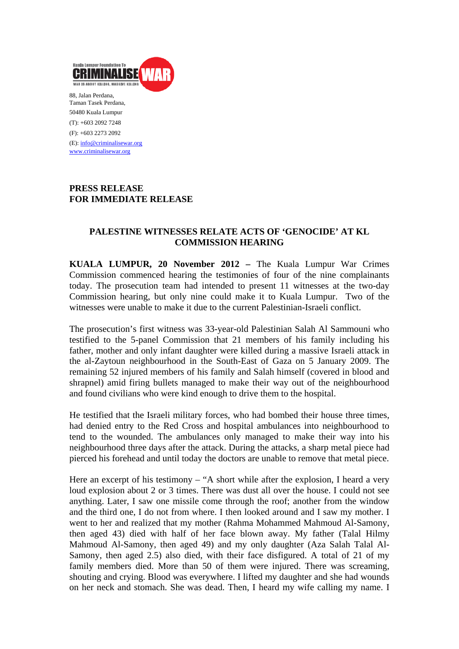

Taman Tasek Perdana, 50480 Kuala Lumpur (T): +603 2092 7248 (F): +603 2273 2092 (E): info@criminalisewar.org www.criminalisewar.org

## **PRESS RELEASE FOR IMMEDIATE RELEASE**

# **PALESTINE WITNESSES RELATE ACTS OF 'GENOCIDE' AT KL COMMISSION HEARING**

**KUALA LUMPUR, 20 November 2012 –** The Kuala Lumpur War Crimes Commission commenced hearing the testimonies of four of the nine complainants today. The prosecution team had intended to present 11 witnesses at the two-day Commission hearing, but only nine could make it to Kuala Lumpur. Two of the witnesses were unable to make it due to the current Palestinian-Israeli conflict.

The prosecution's first witness was 33-year-old Palestinian Salah Al Sammouni who testified to the 5-panel Commission that 21 members of his family including his father, mother and only infant daughter were killed during a massive Israeli attack in the al-Zaytoun neighbourhood in the South-East of Gaza on 5 January 2009. The remaining 52 injured members of his family and Salah himself (covered in blood and shrapnel) amid firing bullets managed to make their way out of the neighbourhood and found civilians who were kind enough to drive them to the hospital.

He testified that the Israeli military forces, who had bombed their house three times, had denied entry to the Red Cross and hospital ambulances into neighbourhood to tend to the wounded. The ambulances only managed to make their way into his neighbourhood three days after the attack. During the attacks, a sharp metal piece had pierced his forehead and until today the doctors are unable to remove that metal piece.

Here an excerpt of his testimony – "A short while after the explosion, I heard a very loud explosion about 2 or 3 times. There was dust all over the house. I could not see anything. Later, I saw one missile come through the roof; another from the window and the third one, I do not from where. I then looked around and I saw my mother. I went to her and realized that my mother (Rahma Mohammed Mahmoud Al-Samony, then aged 43) died with half of her face blown away. My father (Talal Hilmy Mahmoud Al-Samony, then aged 49) and my only daughter (Aza Salah Talal Al-Samony, then aged 2.5) also died, with their face disfigured. A total of 21 of my family members died. More than 50 of them were injured. There was screaming, shouting and crying. Blood was everywhere. I lifted my daughter and she had wounds on her neck and stomach. She was dead. Then, I heard my wife calling my name. I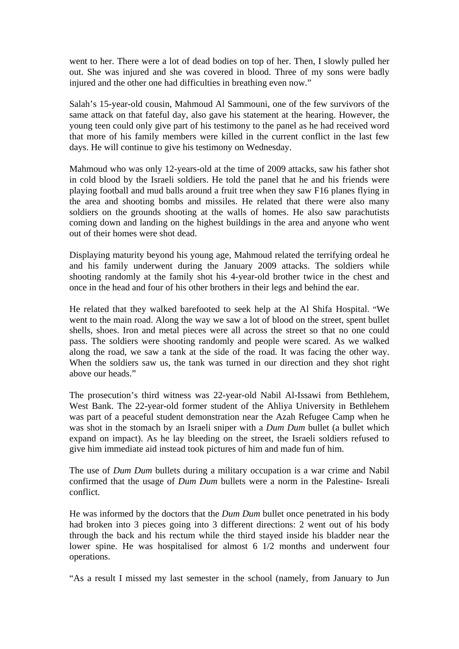went to her. There were a lot of dead bodies on top of her. Then, I slowly pulled her out. She was injured and she was covered in blood. Three of my sons were badly injured and the other one had difficulties in breathing even now."

Salah's 15-year-old cousin, Mahmoud Al Sammouni, one of the few survivors of the same attack on that fateful day, also gave his statement at the hearing. However, the young teen could only give part of his testimony to the panel as he had received word that more of his family members were killed in the current conflict in the last few days. He will continue to give his testimony on Wednesday.

Mahmoud who was only 12-years-old at the time of 2009 attacks, saw his father shot in cold blood by the Israeli soldiers. He told the panel that he and his friends were playing football and mud balls around a fruit tree when they saw F16 planes flying in the area and shooting bombs and missiles. He related that there were also many soldiers on the grounds shooting at the walls of homes. He also saw parachutists coming down and landing on the highest buildings in the area and anyone who went out of their homes were shot dead.

Displaying maturity beyond his young age, Mahmoud related the terrifying ordeal he and his family underwent during the January 2009 attacks. The soldiers while shooting randomly at the family shot his 4-year-old brother twice in the chest and once in the head and four of his other brothers in their legs and behind the ear.

He related that they walked barefooted to seek help at the Al Shifa Hospital. "We went to the main road. Along the way we saw a lot of blood on the street, spent bullet shells, shoes. Iron and metal pieces were all across the street so that no one could pass. The soldiers were shooting randomly and people were scared. As we walked along the road, we saw a tank at the side of the road. It was facing the other way. When the soldiers saw us, the tank was turned in our direction and they shot right above our heads."

The prosecution's third witness was 22-year-old Nabil Al-Issawi from Bethlehem, West Bank. The 22-year-old former student of the Ahliya University in Bethlehem was part of a peaceful student demonstration near the Azah Refugee Camp when he was shot in the stomach by an Israeli sniper with a *Dum Dum* bullet (a bullet which expand on impact). As he lay bleeding on the street, the Israeli soldiers refused to give him immediate aid instead took pictures of him and made fun of him.

The use of *Dum Dum* bullets during a military occupation is a war crime and Nabil confirmed that the usage of *Dum Dum* bullets were a norm in the Palestine- Isreali conflict.

He was informed by the doctors that the *Dum Dum* bullet once penetrated in his body had broken into 3 pieces going into 3 different directions: 2 went out of his body through the back and his rectum while the third stayed inside his bladder near the lower spine. He was hospitalised for almost 6 1/2 months and underwent four operations.

"As a result I missed my last semester in the school (namely, from January to Jun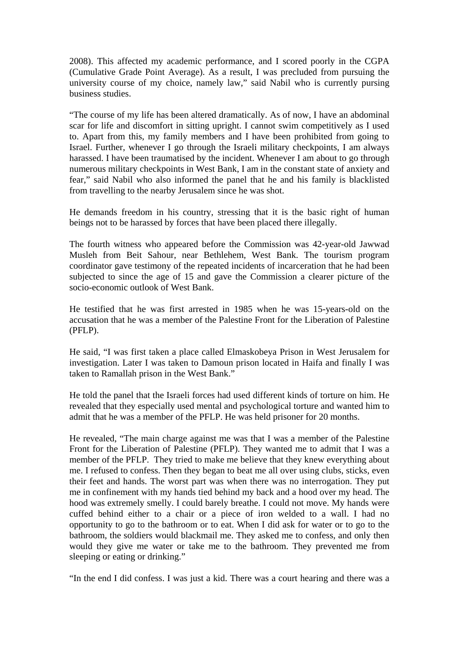2008). This affected my academic performance, and I scored poorly in the CGPA (Cumulative Grade Point Average). As a result, I was precluded from pursuing the university course of my choice, namely law," said Nabil who is currently pursing business studies.

"The course of my life has been altered dramatically. As of now, I have an abdominal scar for life and discomfort in sitting upright. I cannot swim competitively as I used to. Apart from this, my family members and I have been prohibited from going to Israel. Further, whenever I go through the Israeli military checkpoints, I am always harassed. I have been traumatised by the incident. Whenever I am about to go through numerous military checkpoints in West Bank, I am in the constant state of anxiety and fear," said Nabil who also informed the panel that he and his family is blacklisted from travelling to the nearby Jerusalem since he was shot.

He demands freedom in his country, stressing that it is the basic right of human beings not to be harassed by forces that have been placed there illegally.

The fourth witness who appeared before the Commission was 42-year-old Jawwad Musleh from Beit Sahour, near Bethlehem, West Bank. The tourism program coordinator gave testimony of the repeated incidents of incarceration that he had been subjected to since the age of 15 and gave the Commission a clearer picture of the socio-economic outlook of West Bank.

He testified that he was first arrested in 1985 when he was 15-years-old on the accusation that he was a member of the Palestine Front for the Liberation of Palestine (PFLP).

He said, "I was first taken a place called Elmaskobeya Prison in West Jerusalem for investigation. Later I was taken to Damoun prison located in Haifa and finally I was taken to Ramallah prison in the West Bank."

He told the panel that the Israeli forces had used different kinds of torture on him. He revealed that they especially used mental and psychological torture and wanted him to admit that he was a member of the PFLP. He was held prisoner for 20 months.

He revealed, "The main charge against me was that I was a member of the Palestine Front for the Liberation of Palestine (PFLP). They wanted me to admit that I was a member of the PFLP. They tried to make me believe that they knew everything about me. I refused to confess. Then they began to beat me all over using clubs, sticks, even their feet and hands. The worst part was when there was no interrogation. They put me in confinement with my hands tied behind my back and a hood over my head. The hood was extremely smelly. I could barely breathe. I could not move. My hands were cuffed behind either to a chair or a piece of iron welded to a wall. I had no opportunity to go to the bathroom or to eat. When I did ask for water or to go to the bathroom, the soldiers would blackmail me. They asked me to confess, and only then would they give me water or take me to the bathroom. They prevented me from sleeping or eating or drinking."

"In the end I did confess. I was just a kid. There was a court hearing and there was a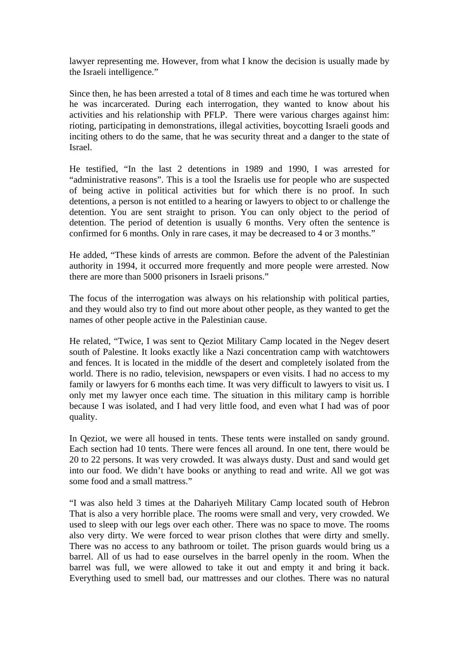lawyer representing me. However, from what I know the decision is usually made by the Israeli intelligence."

Since then, he has been arrested a total of 8 times and each time he was tortured when he was incarcerated. During each interrogation, they wanted to know about his activities and his relationship with PFLP. There were various charges against him: rioting, participating in demonstrations, illegal activities, boycotting Israeli goods and inciting others to do the same, that he was security threat and a danger to the state of Israel.

He testified, "In the last 2 detentions in 1989 and 1990, I was arrested for "administrative reasons". This is a tool the Israelis use for people who are suspected of being active in political activities but for which there is no proof. In such detentions, a person is not entitled to a hearing or lawyers to object to or challenge the detention. You are sent straight to prison. You can only object to the period of detention. The period of detention is usually 6 months. Very often the sentence is confirmed for 6 months. Only in rare cases, it may be decreased to 4 or 3 months."

He added, "These kinds of arrests are common. Before the advent of the Palestinian authority in 1994, it occurred more frequently and more people were arrested. Now there are more than 5000 prisoners in Israeli prisons."

The focus of the interrogation was always on his relationship with political parties, and they would also try to find out more about other people, as they wanted to get the names of other people active in the Palestinian cause.

He related, "Twice, I was sent to Qeziot Military Camp located in the Negev desert south of Palestine. It looks exactly like a Nazi concentration camp with watchtowers and fences. It is located in the middle of the desert and completely isolated from the world. There is no radio, television, newspapers or even visits. I had no access to my family or lawyers for 6 months each time. It was very difficult to lawyers to visit us. I only met my lawyer once each time. The situation in this military camp is horrible because I was isolated, and I had very little food, and even what I had was of poor quality.

In Qeziot, we were all housed in tents. These tents were installed on sandy ground. Each section had 10 tents. There were fences all around. In one tent, there would be 20 to 22 persons. It was very crowded. It was always dusty. Dust and sand would get into our food. We didn't have books or anything to read and write. All we got was some food and a small mattress."

"I was also held 3 times at the Dahariyeh Military Camp located south of Hebron That is also a very horrible place. The rooms were small and very, very crowded. We used to sleep with our legs over each other. There was no space to move. The rooms also very dirty. We were forced to wear prison clothes that were dirty and smelly. There was no access to any bathroom or toilet. The prison guards would bring us a barrel. All of us had to ease ourselves in the barrel openly in the room. When the barrel was full, we were allowed to take it out and empty it and bring it back. Everything used to smell bad, our mattresses and our clothes. There was no natural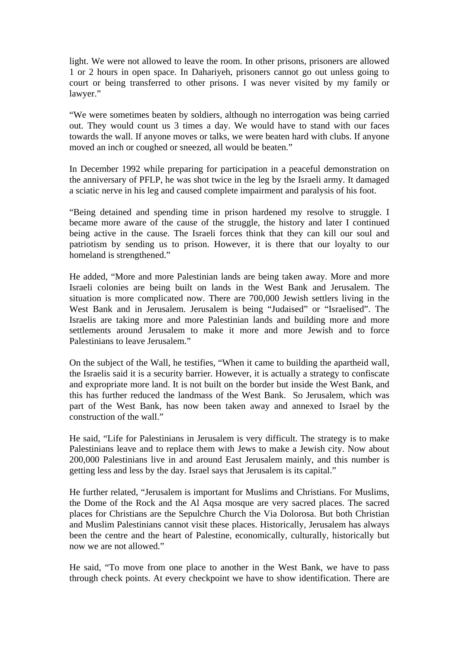light. We were not allowed to leave the room. In other prisons, prisoners are allowed 1 or 2 hours in open space. In Dahariyeh, prisoners cannot go out unless going to court or being transferred to other prisons. I was never visited by my family or lawyer."

"We were sometimes beaten by soldiers, although no interrogation was being carried out. They would count us 3 times a day. We would have to stand with our faces towards the wall. If anyone moves or talks, we were beaten hard with clubs. If anyone moved an inch or coughed or sneezed, all would be beaten."

In December 1992 while preparing for participation in a peaceful demonstration on the anniversary of PFLP, he was shot twice in the leg by the Israeli army. It damaged a sciatic nerve in his leg and caused complete impairment and paralysis of his foot.

"Being detained and spending time in prison hardened my resolve to struggle. I became more aware of the cause of the struggle, the history and later I continued being active in the cause. The Israeli forces think that they can kill our soul and patriotism by sending us to prison. However, it is there that our loyalty to our homeland is strengthened."

He added, "More and more Palestinian lands are being taken away. More and more Israeli colonies are being built on lands in the West Bank and Jerusalem. The situation is more complicated now. There are 700,000 Jewish settlers living in the West Bank and in Jerusalem. Jerusalem is being "Judaised" or "Israelised". The Israelis are taking more and more Palestinian lands and building more and more settlements around Jerusalem to make it more and more Jewish and to force Palestinians to leave Jerusalem."

On the subject of the Wall, he testifies, "When it came to building the apartheid wall, the Israelis said it is a security barrier. However, it is actually a strategy to confiscate and expropriate more land. It is not built on the border but inside the West Bank, and this has further reduced the landmass of the West Bank. So Jerusalem, which was part of the West Bank, has now been taken away and annexed to Israel by the construction of the wall."

He said, "Life for Palestinians in Jerusalem is very difficult. The strategy is to make Palestinians leave and to replace them with Jews to make a Jewish city. Now about 200,000 Palestinians live in and around East Jerusalem mainly, and this number is getting less and less by the day. Israel says that Jerusalem is its capital."

He further related, "Jerusalem is important for Muslims and Christians. For Muslims, the Dome of the Rock and the Al Aqsa mosque are very sacred places. The sacred places for Christians are the Sepulchre Church the Via Dolorosa. But both Christian and Muslim Palestinians cannot visit these places. Historically, Jerusalem has always been the centre and the heart of Palestine, economically, culturally, historically but now we are not allowed."

He said, "To move from one place to another in the West Bank, we have to pass through check points. At every checkpoint we have to show identification. There are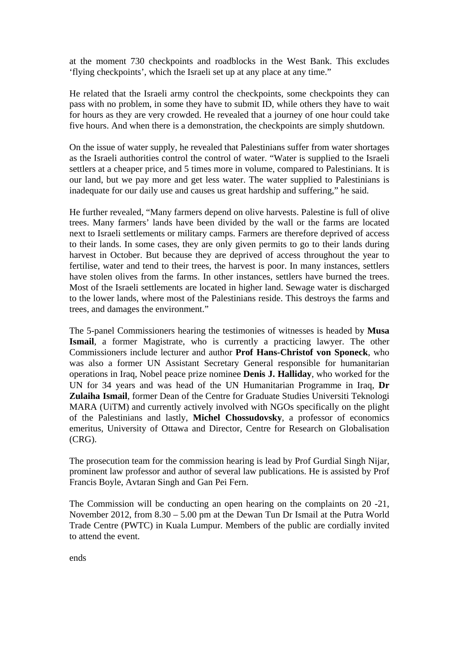at the moment 730 checkpoints and roadblocks in the West Bank. This excludes 'flying checkpoints', which the Israeli set up at any place at any time."

He related that the Israeli army control the checkpoints, some checkpoints they can pass with no problem, in some they have to submit ID, while others they have to wait for hours as they are very crowded. He revealed that a journey of one hour could take five hours. And when there is a demonstration, the checkpoints are simply shutdown.

On the issue of water supply, he revealed that Palestinians suffer from water shortages as the Israeli authorities control the control of water. "Water is supplied to the Israeli settlers at a cheaper price, and 5 times more in volume, compared to Palestinians. It is our land, but we pay more and get less water. The water supplied to Palestinians is inadequate for our daily use and causes us great hardship and suffering," he said.

He further revealed, "Many farmers depend on olive harvests. Palestine is full of olive trees. Many farmers' lands have been divided by the wall or the farms are located next to Israeli settlements or military camps. Farmers are therefore deprived of access to their lands. In some cases, they are only given permits to go to their lands during harvest in October. But because they are deprived of access throughout the year to fertilise, water and tend to their trees, the harvest is poor. In many instances, settlers have stolen olives from the farms. In other instances, settlers have burned the trees. Most of the Israeli settlements are located in higher land. Sewage water is discharged to the lower lands, where most of the Palestinians reside. This destroys the farms and trees, and damages the environment."

The 5-panel Commissioners hearing the testimonies of witnesses is headed by **Musa Ismail**, a former Magistrate, who is currently a practicing lawyer. The other Commissioners include lecturer and author **Prof Hans-Christof von Sponeck**, who was also a former UN Assistant Secretary General responsible for humanitarian operations in Iraq, Nobel peace prize nominee **Denis J. Halliday**, who worked for the UN for 34 years and was head of the UN Humanitarian Programme in Iraq, **Dr Zulaiha Ismail**, former Dean of the Centre for Graduate Studies Universiti Teknologi MARA (UiTM) and currently actively involved with NGOs specifically on the plight of the Palestinians and lastly, **Michel Chossudovsky**, a professor of economics emeritus, University of Ottawa and Director, Centre for Research on Globalisation (CRG).

The prosecution team for the commission hearing is lead by Prof Gurdial Singh Nijar, prominent law professor and author of several law publications. He is assisted by Prof Francis Boyle, Avtaran Singh and Gan Pei Fern.

The Commission will be conducting an open hearing on the complaints on 20 -21, November 2012, from 8.30 – 5.00 pm at the Dewan Tun Dr Ismail at the Putra World Trade Centre (PWTC) in Kuala Lumpur. Members of the public are cordially invited to attend the event.

ends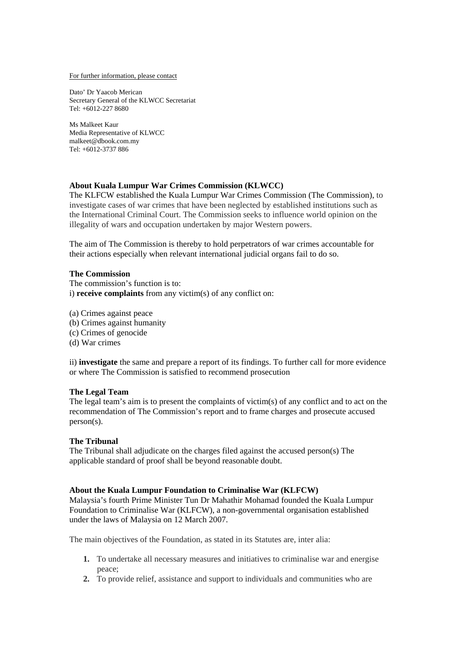For further information, please contact

Dato' Dr Yaacob Merican Secretary General of the KLWCC Secretariat Tel: +6012-227 8680

Ms Malkeet Kaur Media Representative of KLWCC malkeet@dbook.com.my Tel: +6012-3737 886

### **About Kuala Lumpur War Crimes Commission (KLWCC)**

The KLFCW established the Kuala Lumpur War Crimes Commission (The Commission), to investigate cases of war crimes that have been neglected by established institutions such as the International Criminal Court. The Commission seeks to influence world opinion on the illegality of wars and occupation undertaken by major Western powers.

The aim of The Commission is thereby to hold perpetrators of war crimes accountable for their actions especially when relevant international judicial organs fail to do so.

#### **The Commission**

The commission's function is to: i) **receive complaints** from any victim(s) of any conflict on:

(a) Crimes against peace

- (b) Crimes against humanity
- (c) Crimes of genocide
- (d) War crimes

ii) **investigate** the same and prepare a report of its findings. To further call for more evidence or where The Commission is satisfied to recommend prosecution

#### **The Legal Team**

The legal team's aim is to present the complaints of victim(s) of any conflict and to act on the recommendation of The Commission's report and to frame charges and prosecute accused person(s).

#### **The Tribunal**

The Tribunal shall adjudicate on the charges filed against the accused person(s) The applicable standard of proof shall be beyond reasonable doubt.

#### **About the Kuala Lumpur Foundation to Criminalise War (KLFCW)**

Malaysia's fourth Prime Minister Tun Dr Mahathir Mohamad founded the Kuala Lumpur Foundation to Criminalise War (KLFCW), a non-governmental organisation established under the laws of Malaysia on 12 March 2007.

The main objectives of the Foundation, as stated in its Statutes are, inter alia:

- **1.** To undertake all necessary measures and initiatives to criminalise war and energise peace;
- **2.** To provide relief, assistance and support to individuals and communities who are